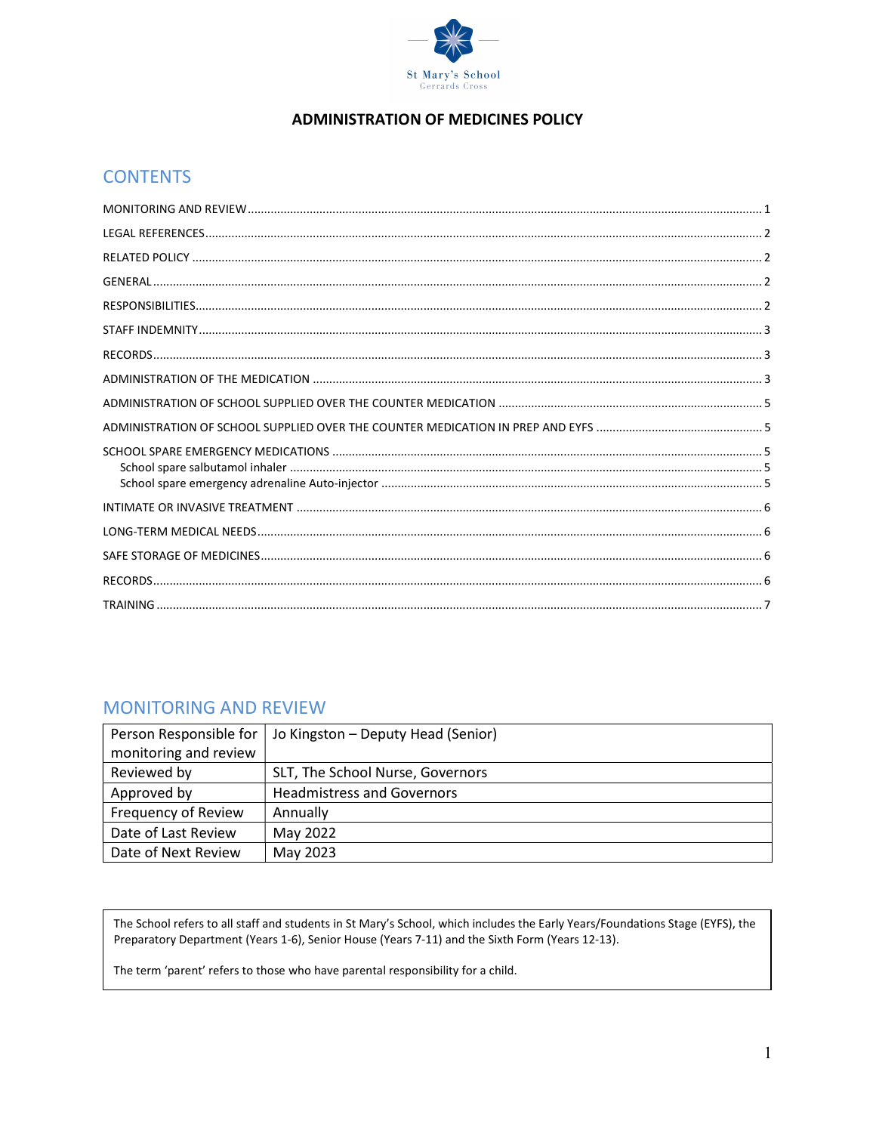

#### **ADMINISTRATION OF MEDICINES POLICY**

# **CONTENTS**

### **MONITORING AND REVIEW**

| Person Responsible for | Jo Kingston - Deputy Head (Senior) |
|------------------------|------------------------------------|
| monitoring and review  |                                    |
| Reviewed by            | SLT, The School Nurse, Governors   |
| Approved by            | <b>Headmistress and Governors</b>  |
| Frequency of Review    | Annually                           |
| Date of Last Review    | May 2022                           |
| Date of Next Review    | May 2023                           |

The School refers to all staff and students in St Mary's School, which includes the Early Years/Foundations Stage (EYFS), the Preparatory Department (Years 1-6), Senior House (Years 7-11) and the Sixth Form (Years 12-13).

The term 'parent' refers to those who have parental responsibility for a child.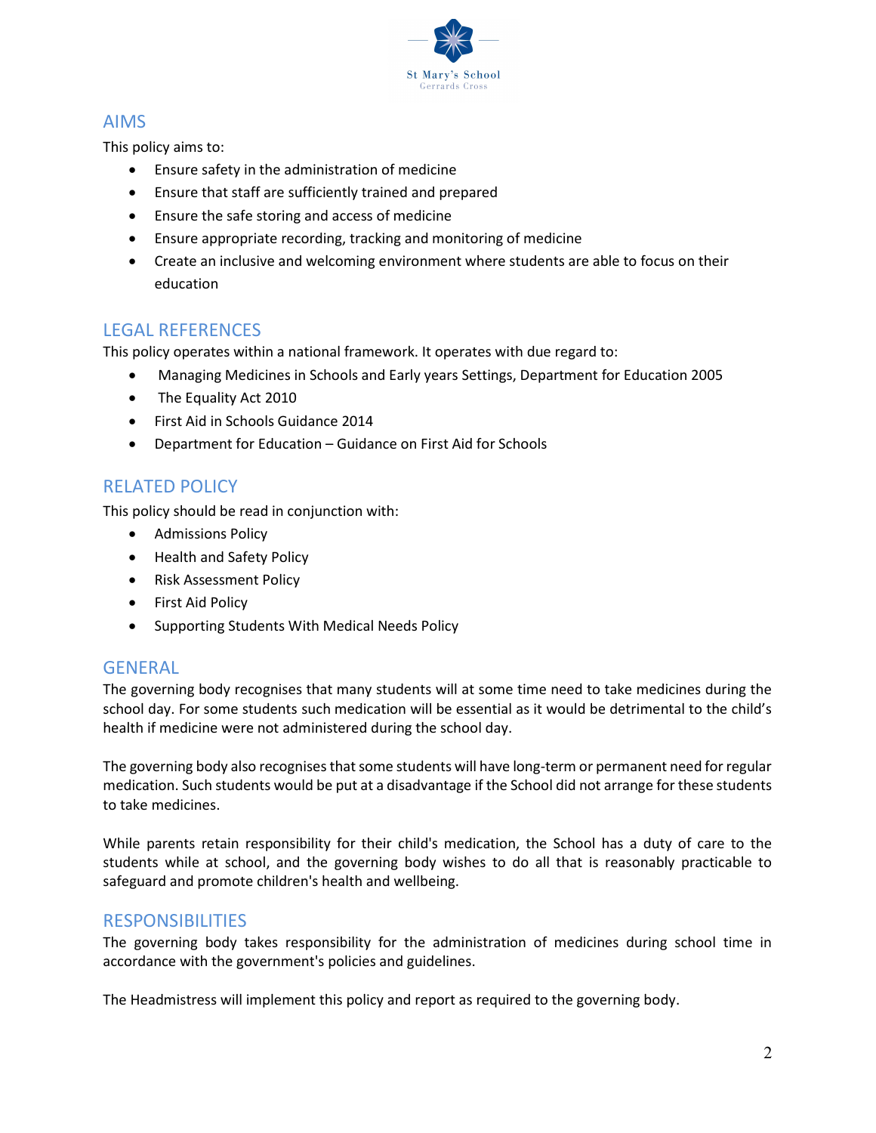

# AIMS

This policy aims to:

- Ensure safety in the administration of medicine
- Ensure that staff are sufficiently trained and prepared
- Ensure the safe storing and access of medicine
- Ensure appropriate recording, tracking and monitoring of medicine
- Create an inclusive and welcoming environment where students are able to focus on their education

# LEGAL REFERENCES

This policy operates within a national framework. It operates with due regard to:

- Managing Medicines in Schools and Early years Settings, Department for Education 2005
- The Equality Act 2010
- First Aid in Schools Guidance 2014
- Department for Education Guidance on First Aid for Schools

# RELATED POLICY

This policy should be read in conjunction with:

- **•** Admissions Policy
- Health and Safety Policy
- Risk Assessment Policy
- First Aid Policy
- Supporting Students With Medical Needs Policy

### GENERAL

The governing body recognises that many students will at some time need to take medicines during the school day. For some students such medication will be essential as it would be detrimental to the child's health if medicine were not administered during the school day.

The governing body also recognises that some students will have long-term or permanent need for regular medication. Such students would be put at a disadvantage if the School did not arrange for these students to take medicines.

While parents retain responsibility for their child's medication, the School has a duty of care to the students while at school, and the governing body wishes to do all that is reasonably practicable to safeguard and promote children's health and wellbeing.

### **RESPONSIBILITIES**

The governing body takes responsibility for the administration of medicines during school time in accordance with the government's policies and guidelines.

The Headmistress will implement this policy and report as required to the governing body.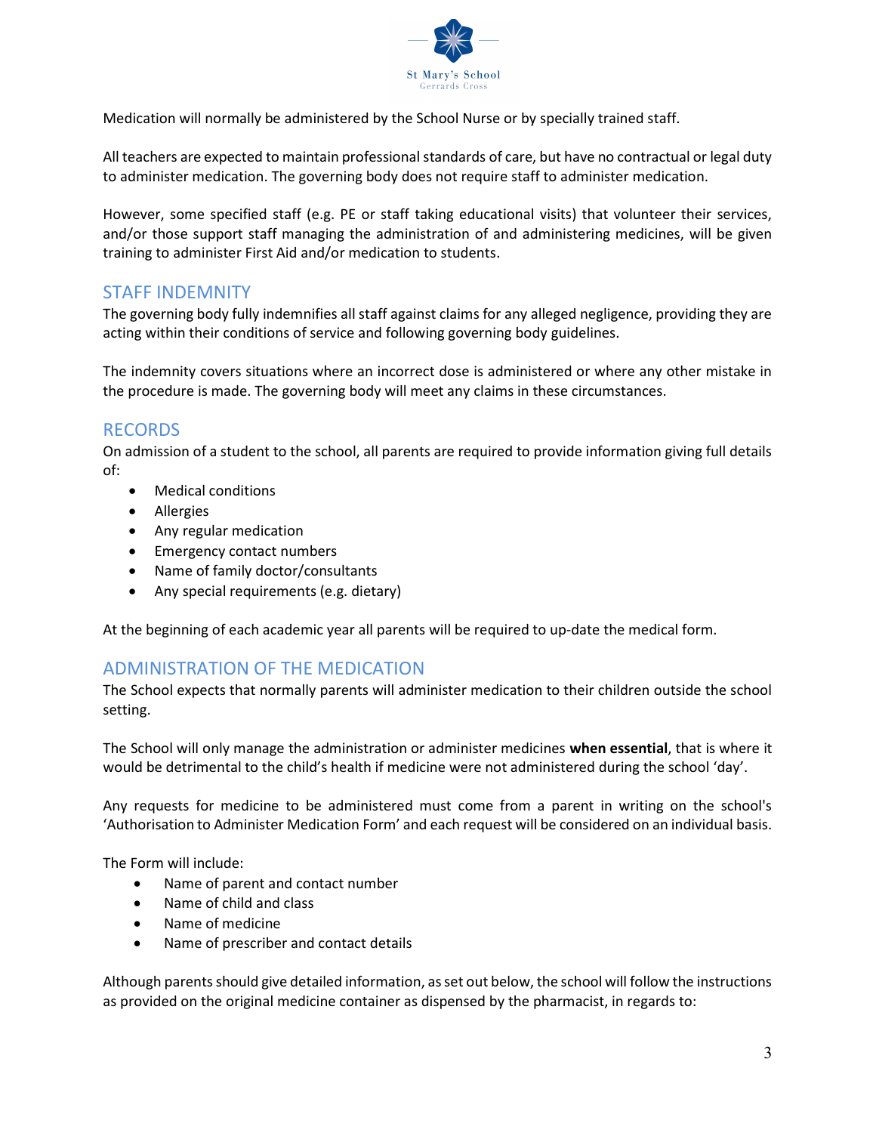

Medication will normally be administered by the School Nurse or by specially trained staff.

All teachers are expected to maintain professional standards of care, but have no contractual or legal duty to administer medication. The governing body does not require staff to administer medication.

However, some specified staff (e.g. PE or staff taking educational visits) that volunteer their services, and/or those support staff managing the administration of and administering medicines, will be given training to administer First Aid and/or medication to students.

### STAFF INDEMNITY

The governing body fully indemnifies all staff against claims for any alleged negligence, providing they are acting within their conditions of service and following governing body guidelines.

The indemnity covers situations where an incorrect dose is administered or where any other mistake in the procedure is made. The governing body will meet any claims in these circumstances.

# RECORDS

On admission of a student to the school, all parents are required to provide information giving full details of:

- Medical conditions
- Allergies
- Any regular medication
- Emergency contact numbers
- Name of family doctor/consultants
- Any special requirements (e.g. dietary)

At the beginning of each academic year all parents will be required to up-date the medical form.

### ADMINISTRATION OF THE MEDICATION

The School expects that normally parents will administer medication to their children outside the school setting.

The School will only manage the administration or administer medicines when essential, that is where it would be detrimental to the child's health if medicine were not administered during the school 'day'.

Any requests for medicine to be administered must come from a parent in writing on the school's 'Authorisation to Administer Medication Form' and each request will be considered on an individual basis.

The Form will include:

- Name of parent and contact number
- Name of child and class
- Name of medicine
- Name of prescriber and contact details

Although parents should give detailed information, as set out below, the school will follow the instructions as provided on the original medicine container as dispensed by the pharmacist, in regards to: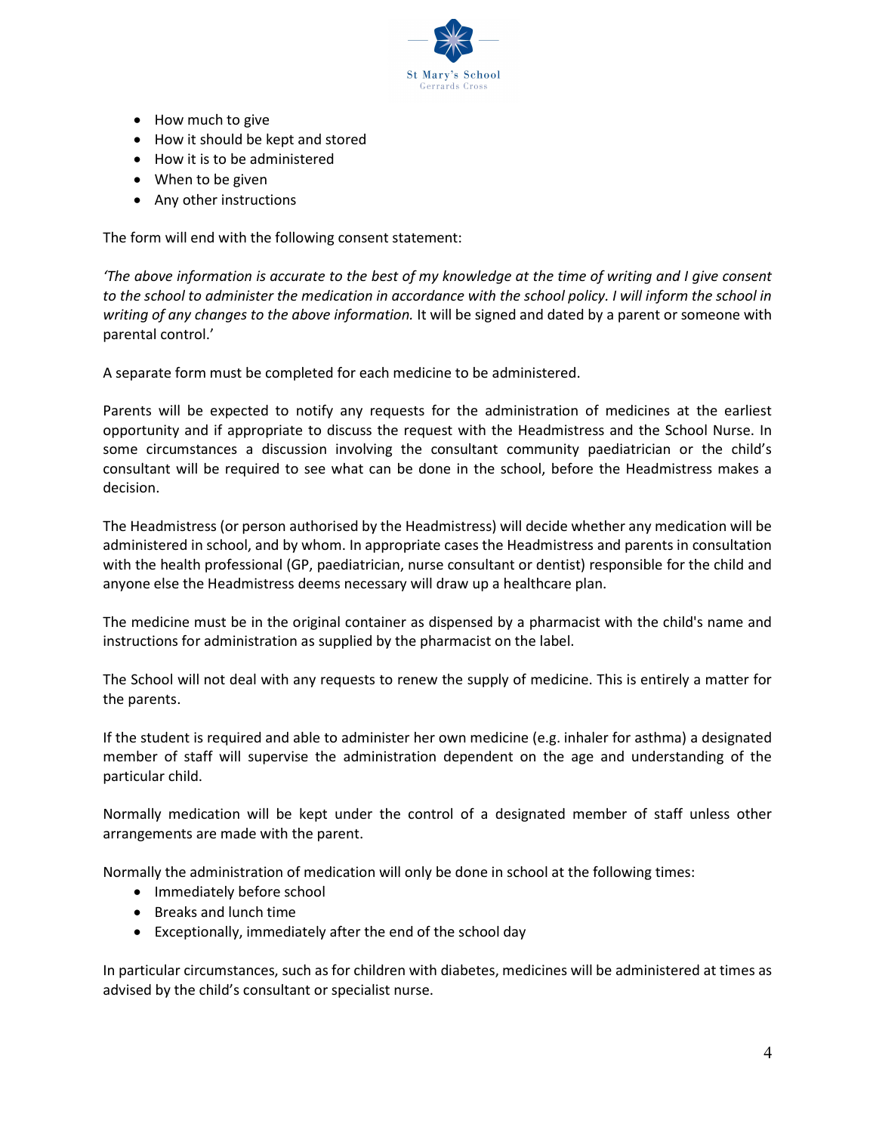

- How much to give
- How it should be kept and stored
- How it is to be administered
- When to be given
- Any other instructions

The form will end with the following consent statement:

'The above information is accurate to the best of my knowledge at the time of writing and I give consent to the school to administer the medication in accordance with the school policy. I will inform the school in writing of any changes to the above information. It will be signed and dated by a parent or someone with parental control.'

A separate form must be completed for each medicine to be administered.

Parents will be expected to notify any requests for the administration of medicines at the earliest opportunity and if appropriate to discuss the request with the Headmistress and the School Nurse. In some circumstances a discussion involving the consultant community paediatrician or the child's consultant will be required to see what can be done in the school, before the Headmistress makes a decision.

The Headmistress (or person authorised by the Headmistress) will decide whether any medication will be administered in school, and by whom. In appropriate cases the Headmistress and parents in consultation with the health professional (GP, paediatrician, nurse consultant or dentist) responsible for the child and anyone else the Headmistress deems necessary will draw up a healthcare plan.

The medicine must be in the original container as dispensed by a pharmacist with the child's name and instructions for administration as supplied by the pharmacist on the label.

The School will not deal with any requests to renew the supply of medicine. This is entirely a matter for the parents.

If the student is required and able to administer her own medicine (e.g. inhaler for asthma) a designated member of staff will supervise the administration dependent on the age and understanding of the particular child.

Normally medication will be kept under the control of a designated member of staff unless other arrangements are made with the parent.

Normally the administration of medication will only be done in school at the following times:

- Immediately before school
- Breaks and lunch time
- Exceptionally, immediately after the end of the school day

In particular circumstances, such as for children with diabetes, medicines will be administered at times as advised by the child's consultant or specialist nurse.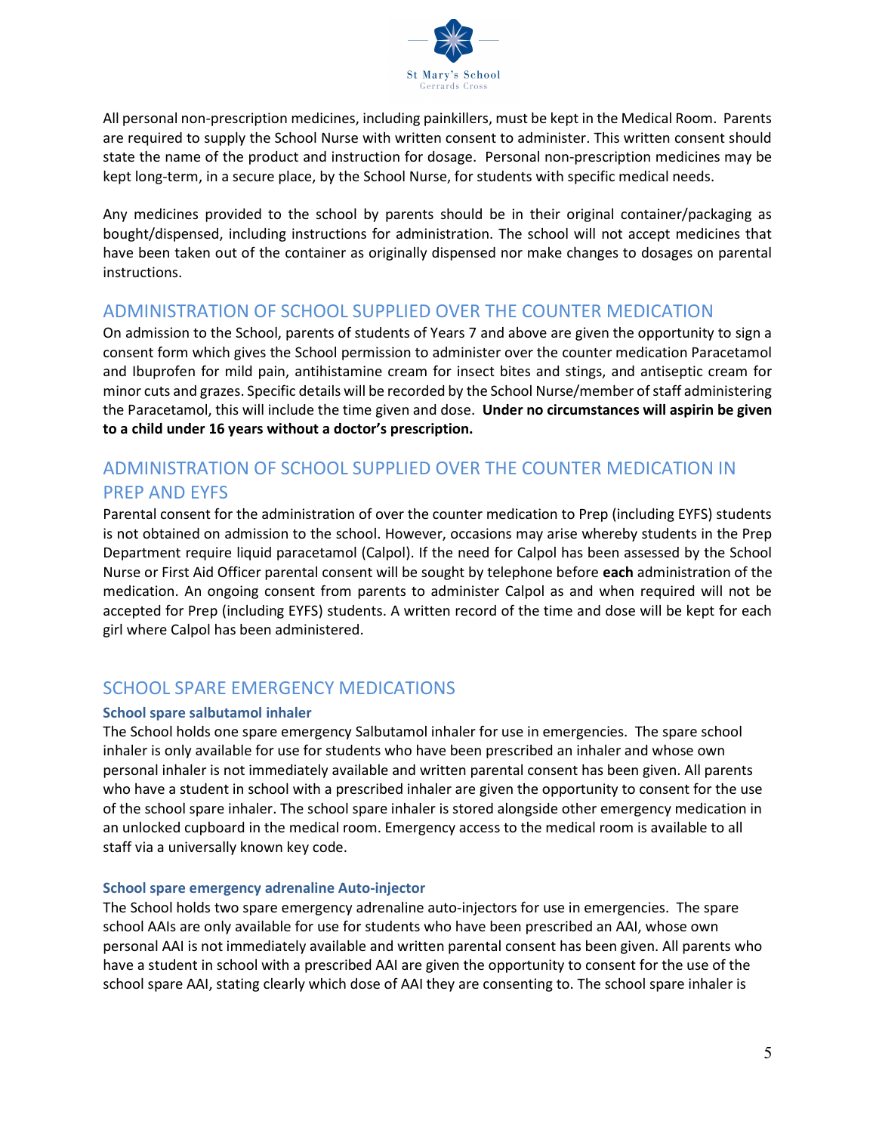

All personal non-prescription medicines, including painkillers, must be kept in the Medical Room. Parents are required to supply the School Nurse with written consent to administer. This written consent should state the name of the product and instruction for dosage. Personal non-prescription medicines may be kept long-term, in a secure place, by the School Nurse, for students with specific medical needs.

Any medicines provided to the school by parents should be in their original container/packaging as bought/dispensed, including instructions for administration. The school will not accept medicines that have been taken out of the container as originally dispensed nor make changes to dosages on parental instructions.

### ADMINISTRATION OF SCHOOL SUPPLIED OVER THE COUNTER MEDICATION

On admission to the School, parents of students of Years 7 and above are given the opportunity to sign a consent form which gives the School permission to administer over the counter medication Paracetamol and Ibuprofen for mild pain, antihistamine cream for insect bites and stings, and antiseptic cream for minor cuts and grazes. Specific details will be recorded by the School Nurse/member of staff administering the Paracetamol, this will include the time given and dose. Under no circumstances will aspirin be given to a child under 16 years without a doctor's prescription.

# ADMINISTRATION OF SCHOOL SUPPLIED OVER THE COUNTER MEDICATION IN PREP AND EYFS

Parental consent for the administration of over the counter medication to Prep (including EYFS) students is not obtained on admission to the school. However, occasions may arise whereby students in the Prep Department require liquid paracetamol (Calpol). If the need for Calpol has been assessed by the School Nurse or First Aid Officer parental consent will be sought by telephone before each administration of the medication. An ongoing consent from parents to administer Calpol as and when required will not be accepted for Prep (including EYFS) students. A written record of the time and dose will be kept for each girl where Calpol has been administered.

# SCHOOL SPARE EMERGENCY MEDICATIONS

#### School spare salbutamol inhaler

The School holds one spare emergency Salbutamol inhaler for use in emergencies. The spare school inhaler is only available for use for students who have been prescribed an inhaler and whose own personal inhaler is not immediately available and written parental consent has been given. All parents who have a student in school with a prescribed inhaler are given the opportunity to consent for the use of the school spare inhaler. The school spare inhaler is stored alongside other emergency medication in an unlocked cupboard in the medical room. Emergency access to the medical room is available to all staff via a universally known key code.

#### School spare emergency adrenaline Auto-injector

The School holds two spare emergency adrenaline auto-injectors for use in emergencies. The spare school AAIs are only available for use for students who have been prescribed an AAI, whose own personal AAI is not immediately available and written parental consent has been given. All parents who have a student in school with a prescribed AAI are given the opportunity to consent for the use of the school spare AAI, stating clearly which dose of AAI they are consenting to. The school spare inhaler is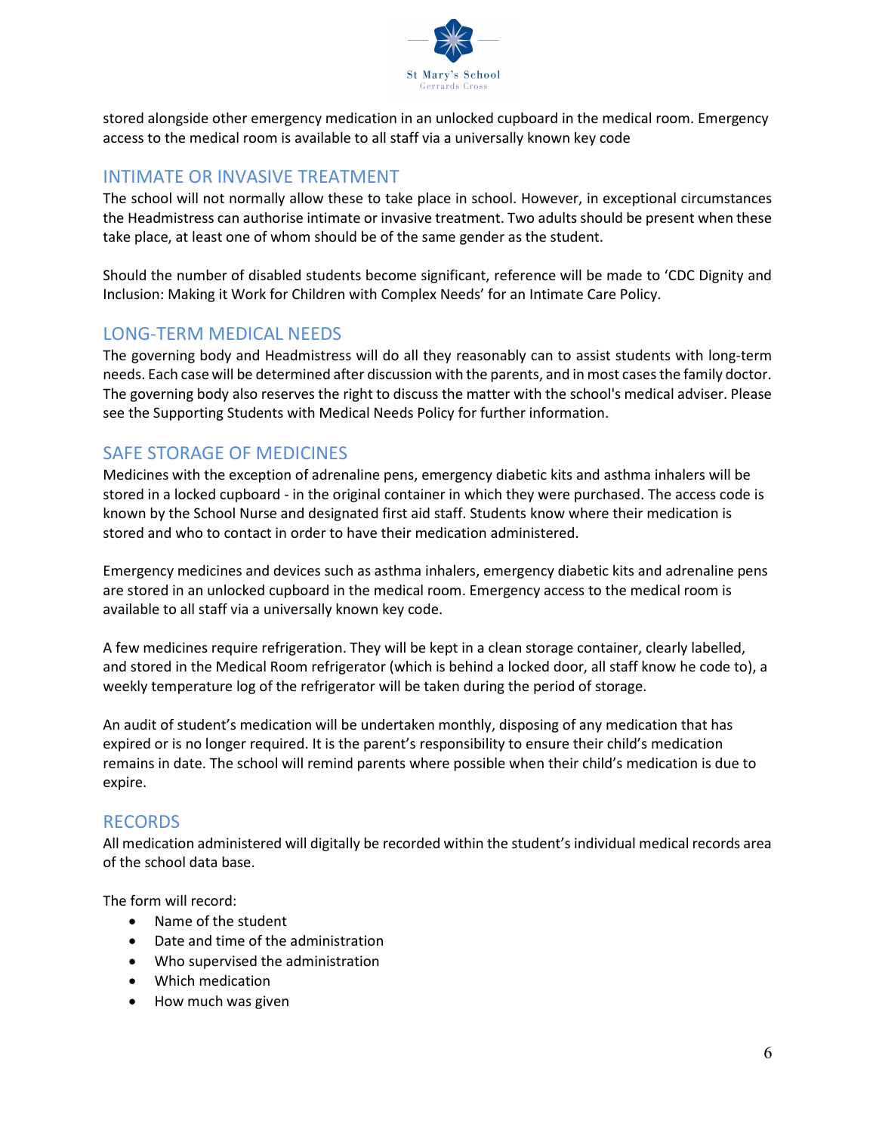

stored alongside other emergency medication in an unlocked cupboard in the medical room. Emergency access to the medical room is available to all staff via a universally known key code

## INTIMATE OR INVASIVE TREATMENT

The school will not normally allow these to take place in school. However, in exceptional circumstances the Headmistress can authorise intimate or invasive treatment. Two adults should be present when these take place, at least one of whom should be of the same gender as the student.

Should the number of disabled students become significant, reference will be made to 'CDC Dignity and Inclusion: Making it Work for Children with Complex Needs' for an Intimate Care Policy.

### LONG-TERM MEDICAL NEEDS

The governing body and Headmistress will do all they reasonably can to assist students with long-term needs. Each case will be determined after discussion with the parents, and in most cases the family doctor. The governing body also reserves the right to discuss the matter with the school's medical adviser. Please see the Supporting Students with Medical Needs Policy for further information.

# SAFE STORAGE OF MEDICINES

Medicines with the exception of adrenaline pens, emergency diabetic kits and asthma inhalers will be stored in a locked cupboard - in the original container in which they were purchased. The access code is known by the School Nurse and designated first aid staff. Students know where their medication is stored and who to contact in order to have their medication administered.

Emergency medicines and devices such as asthma inhalers, emergency diabetic kits and adrenaline pens are stored in an unlocked cupboard in the medical room. Emergency access to the medical room is available to all staff via a universally known key code.

A few medicines require refrigeration. They will be kept in a clean storage container, clearly labelled, and stored in the Medical Room refrigerator (which is behind a locked door, all staff know he code to), a weekly temperature log of the refrigerator will be taken during the period of storage.

An audit of student's medication will be undertaken monthly, disposing of any medication that has expired or is no longer required. It is the parent's responsibility to ensure their child's medication remains in date. The school will remind parents where possible when their child's medication is due to expire.

### RECORDS

All medication administered will digitally be recorded within the student's individual medical records area of the school data base.

The form will record:

- Name of the student
- Date and time of the administration
- Who supervised the administration
- Which medication
- How much was given